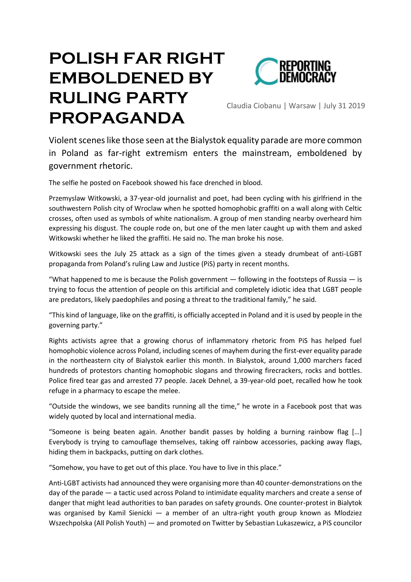## **POLISH FAR RIGHT EMBOLDENED BY RULING PARTY PROPAGANDA**



Claudia Ciobanu | Warsaw | July 31 2019

Violent scenes like those seen at the Bialystok equality parade are more common in Poland as far-right extremism enters the mainstream, emboldened by government rhetoric.

The selfie he posted on Facebook showed his face drenched in blood.

Przemyslaw Witkowski, a 37-year-old journalist and poet, had been cycling with his girlfriend in the southwestern Polish city of Wroclaw when he spotted homophobic graffiti on a wall along with Celtic crosses, often used as symbols of white nationalism. A group of men standing nearby overheard him expressing his disgust. The couple rode on, but one of the men later caught up with them and asked Witkowski whether he liked the graffiti. He said no. The man broke his nose.

Witkowski sees the July 25 attack as a sign of the times given a steady drumbeat of anti-LGBT propaganda from Poland's ruling Law and Justice (PiS) party in recent months.

"What happened to me is because the Polish government  $-$  following in the footsteps of Russia  $-$  is trying to focus the attention of people on this artificial and completely idiotic idea that LGBT people are predators, likely paedophiles and posing a threat to the traditional family," he said.

"This kind of language, like on the graffiti, is officially accepted in Poland and it is used by people in the governing party."

Rights activists agree that a growing chorus of inflammatory rhetoric from PiS has helped fuel homophobic violence across Poland, including scenes of mayhem during the first-ever equality parade in the northeastern city of Bialystok earlier this month. In Bialystok, around 1,000 marchers faced hundreds of protestors chanting homophobic slogans and throwing firecrackers, rocks and bottles. Police fired tear gas and arrested 77 people. Jacek Dehnel, a 39-year-old poet, recalled how he took refuge in a pharmacy to escape the melee.

"Outside the windows, we see bandits running all the time," he wrote in a Facebook post that was widely quoted by local and international media.

"Someone is being beaten again. Another bandit passes by holding a burning rainbow flag […] Everybody is trying to camouflage themselves, taking off rainbow accessories, packing away flags, hiding them in backpacks, putting on dark clothes.

"Somehow, you have to get out of this place. You have to live in this place."

Anti-LGBT activists had announced they were organising more than 40 counter-demonstrations on the day of the parade — a tactic used across Poland to intimidate equality marchers and create a sense of danger that might lead authorities to ban parades on safety grounds. One counter-protest in Bialytok was organised by Kamil Sienicki — a member of an ultra-right youth group known as Mlodziez Wszechpolska (All Polish Youth) — and promoted on Twitter by Sebastian Lukaszewicz, a PiS councilor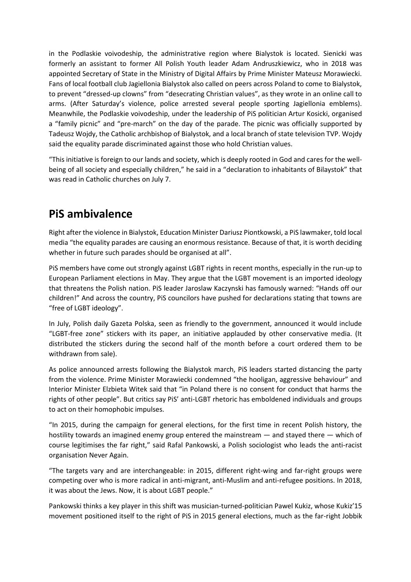in the Podlaskie voivodeship, the administrative region where Bialystok is located. Sienicki was formerly an assistant to former All Polish Youth leader Adam Andruszkiewicz, who in 2018 was appointed Secretary of State in the Ministry of Digital Affairs by Prime Minister Mateusz Morawiecki. Fans of local football club Jagiellonia Bialystok also called on peers across Poland to come to Bialystok, to prevent "dressed-up clowns" from "desecrating Christian values", as they wrote in an online call to arms. (After Saturday's violence, police arrested several people sporting Jagiellonia emblems). Meanwhile, the Podlaskie voivodeship, under the leadership of PiS politician Artur Kosicki, organised a "family picnic" and "pre-march" on the day of the parade. The picnic was officially supported by Tadeusz Wojdy, the Catholic archbishop of Bialystok, and a local branch of state television TVP. Wojdy said the equality parade discriminated against those who hold Christian values.

"This initiative is foreign to our lands and society, which is deeply rooted in God and cares for the wellbeing of all society and especially children," he said in a "declaration to inhabitants of Bilaystok" that was read in Catholic churches on July 7.

## **PiS ambivalence**

Right after the violence in Bialystok, Education Minister Dariusz Piontkowski, a PiS lawmaker, told local media "the equality parades are causing an enormous resistance. Because of that, it is worth deciding whether in future such parades should be organised at all".

PiS members have come out strongly against LGBT rights in recent months, especially in the run-up to European Parliament elections in May. They argue that the LGBT movement is an imported ideology that threatens the Polish nation. PiS leader Jaroslaw Kaczynski has famously warned: "Hands off our children!" And across the country, PiS councilors have pushed for declarations stating that towns are "free of LGBT ideology".

In July, Polish daily Gazeta Polska, seen as friendly to the government, announced it would include "LGBT-free zone" stickers with its paper, an initiative applauded by other conservative media. (It distributed the stickers during the second half of the month before a court ordered them to be withdrawn from sale).

As police announced arrests following the Bialystok march, PiS leaders started distancing the party from the violence. Prime Minister Morawiecki condemned "the hooligan, aggressive behaviour" and Interior Minister Elzbieta Witek said that "in Poland there is no consent for conduct that harms the rights of other people". But critics say PiS' anti-LGBT rhetoric has emboldened individuals and groups to act on their homophobic impulses.

"In 2015, during the campaign for general elections, for the first time in recent Polish history, the hostility towards an imagined enemy group entered the mainstream — and stayed there — which of course legitimises the far right," said Rafal Pankowski, a Polish sociologist who leads the anti-racist organisation Never Again.

"The targets vary and are interchangeable: in 2015, different right-wing and far-right groups were competing over who is more radical in anti-migrant, anti-Muslim and anti-refugee positions. In 2018, it was about the Jews. Now, it is about LGBT people."

Pankowski thinks a key player in this shift was musician-turned-politician Pawel Kukiz, whose Kukiz'15 movement positioned itself to the right of PiS in 2015 general elections, much as the far-right Jobbik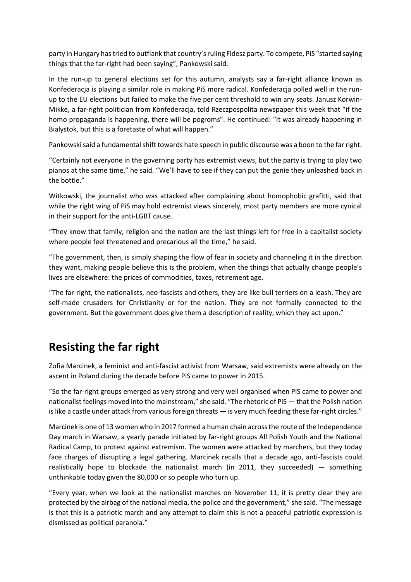party in Hungary has tried to outflank that country's ruling Fidesz party. To compete, PiS "started saying things that the far-right had been saying", Pankowski said.

In the run-up to general elections set for this autumn, analysts say a far-right alliance known as Konfederacja is playing a similar role in making PiS more radical. Konfederacja polled well in the runup to the EU elections but failed to make the five per cent threshold to win any seats. Janusz Korwin-Mikke, a far-right politician from Konfederacja, told Rzeczpospolita newspaper this week that "if the homo propaganda is happening, there will be pogroms". He continued: "It was already happening in Bialystok, but this is a foretaste of what will happen."

Pankowski said a fundamental shift towards hate speech in public discourse was a boon to the far right.

"Certainly not everyone in the governing party has extremist views, but the party is trying to play two pianos at the same time," he said. "We'll have to see if they can put the genie they unleashed back in the bottle."

Witkowski, the journalist who was attacked after complaining about homophobic grafitti, said that while the right wing of PiS may hold extremist views sincerely, most party members are more cynical in their support for the anti-LGBT cause.

"They know that family, religion and the nation are the last things left for free in a capitalist society where people feel threatened and precarious all the time," he said.

"The government, then, is simply shaping the flow of fear in society and channeling it in the direction they want, making people believe this is the problem, when the things that actually change people's lives are elsewhere: the prices of commodities, taxes, retirement age.

"The far-right, the nationalists, neo-fascists and others, they are like bull terriers on a leash. They are self-made crusaders for Christianity or for the nation. They are not formally connected to the government. But the government does give them a description of reality, which they act upon."

## **Resisting the far right**

Zofia Marcinek, a feminist and anti-fascist activist from Warsaw, said extremists were already on the ascent in Poland during the decade before PiS came to power in 2015.

"So the far-right groups emerged as very strong and very well organised when PiS came to power and nationalist feelings moved into the mainstream," she said. "The rhetoric of PiS — that the Polish nation is like a castle under attack from various foreign threats — is very much feeding these far-right circles."

Marcinek is one of 13 women who in 2017 formed a human chain across the route of the Independence Day march in Warsaw, a yearly parade initiated by far-right groups All Polish Youth and the National Radical Camp, to protest against extremism. The women were attacked by marchers, but they today face charges of disrupting a legal gathering. Marcinek recalls that a decade ago, anti-fascists could realistically hope to blockade the nationalist march (in 2011, they succeeded)  $-$  something unthinkable today given the 80,000 or so people who turn up.

"Every year, when we look at the nationalist marches on November 11, it is pretty clear they are protected by the airbag of the national media, the police and the government," she said. "The message is that this is a patriotic march and any attempt to claim this is not a peaceful patriotic expression is dismissed as political paranoia."